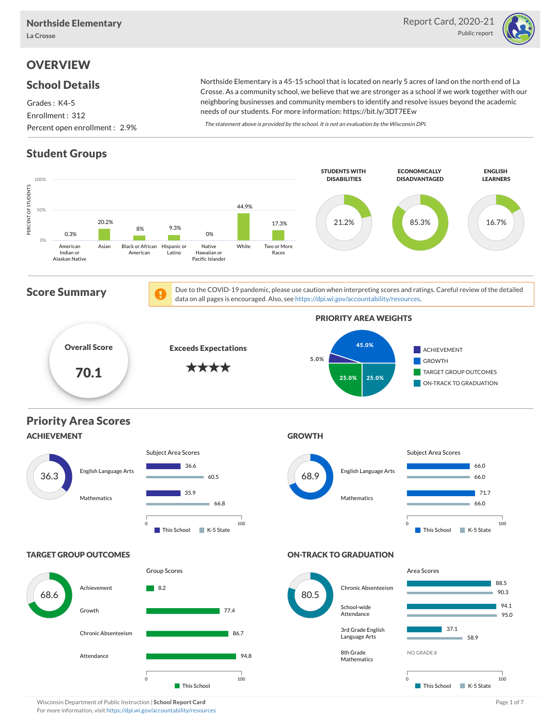

# **OVERVIEW**

#### School Details

Grades : K4-5 Enrollment : 312 Percent open enrollment : 2.9%

Northside Elementary is a 45-15 school that is located on nearly 5 acres of land on the north end of La Crosse. As a community school, we believe that we are stronger as a school if we work together with our neighboring businesses and community members to identify and resolve issues beyond the academic needs of our students. For more information: https://bit.ly/3DT7EEw

The statement above is provided by the school. It is not an evaluation by the Wisconsin DPI.

# Student Groups



Wisconsin Department of Public Instruction | School Report Card Page 1 of 7 and 2008 and 2008 and Page 1 of 7 For more information, visit <https://dpi.wi.gov/accountability/resources>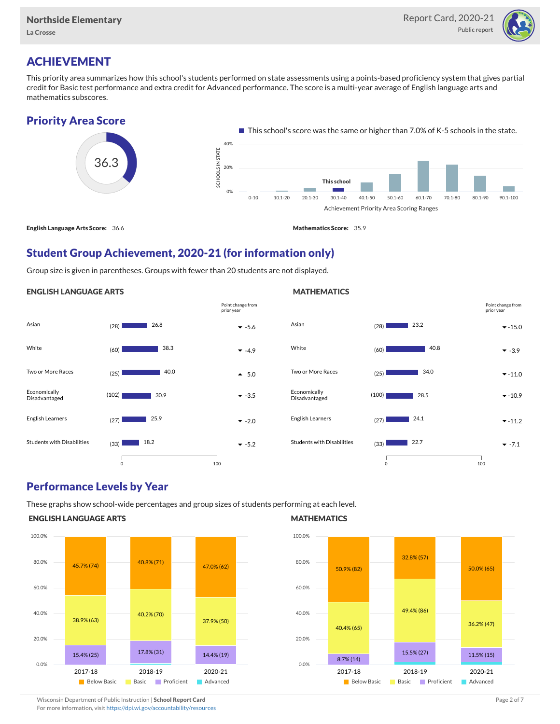

# ACHIEVEMENT

This priority area summarizes how this school's students performed on state assessments using a points-based proficiency system that gives partial credit for Basic test performance and extra credit for Advanced performance. The score is a multi-year average of English language arts and mathematics subscores.





## Student Group Achievement, 2020-21 (for information only)

Group size is given in parentheses. Groups with fewer than 20 students are not displayed.

#### ENGLISH LANGUAGE ARTS





## Performance Levels by Year

These graphs show school-wide percentages and group sizes of students performing at each level.

#### ENGLISH LANGUAGE ARTS



#### **MATHEMATICS**



Wisconsin Department of Public Instruction | School Report Card Page 2 of 7 and 2008 and 2009 and 2 of 7 and 2 of 7

For more information, visit <https://dpi.wi.gov/accountability/resources>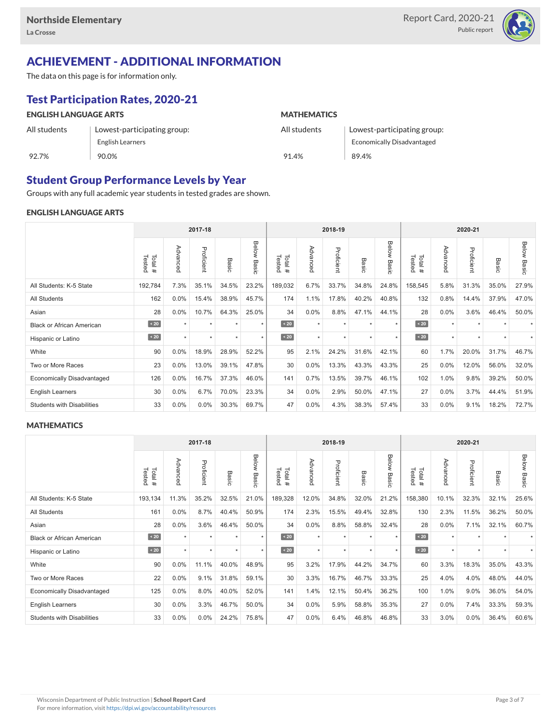

# ACHIEVEMENT - ADDITIONAL INFORMATION

The data on this page is for information only.

# Test Participation Rates, 2020-21

| <b>ENGLISH LANGUAGE ARTS</b> |                             | <b>MATHEMATICS</b> |                                   |  |  |  |  |
|------------------------------|-----------------------------|--------------------|-----------------------------------|--|--|--|--|
| All students                 | Lowest-participating group: | All students       | Lowest-participating group:       |  |  |  |  |
|                              | English Learners            |                    | <b>Economically Disadvantaged</b> |  |  |  |  |
| 92.7%                        | 90.0%                       | 91.4%              | 89.4%                             |  |  |  |  |

## Student Group Performance Levels by Year

Groups with any full academic year students in tested grades are shown.

#### ENGLISH LANGUAGE ARTS

|                                   |                  |          | 2017-18    |       |                |                  |          | 2018-19<br>2020-21 |                  |                |                  |          |            |       |                |
|-----------------------------------|------------------|----------|------------|-------|----------------|------------------|----------|--------------------|------------------|----------------|------------------|----------|------------|-------|----------------|
|                                   | Total#<br>Tested | Advanced | Proficient | Basic | Below<br>Basic | Tested<br>Total# | Advanced | Proficient         | Basi<br>$\Omega$ | Below<br>Basic | Tested<br>Total# | Advancec | Proficient | Basic | Below<br>Basic |
| All Students: K-5 State           | 192,784          | 7.3%     | 35.1%      | 34.5% | 23.2%          | 189,032          | 6.7%     | 33.7%              | 34.8%            | 24.8%          | 158,545          | 5.8%     | 31.3%      | 35.0% | 27.9%          |
| All Students                      | 162              | 0.0%     | 15.4%      | 38.9% | 45.7%          | 174              | 1.1%     | 17.8%              | 40.2%            | 40.8%          | 132              | 0.8%     | 14.4%      | 37.9% | 47.0%          |
| Asian                             | 28               | 0.0%     | 10.7%      | 64.3% | 25.0%          | 34               | 0.0%     | 8.8%               | 47.1%            | 44.1%          | 28               | 0.0%     | 3.6%       | 46.4% | 50.0%          |
| <b>Black or African American</b>  | $\sim 20$        |          | $\star$    |       | $\star$        | $\sim 20$        | $\star$  | $\star$            |                  | $\star$        | $\sim 20$        | $\star$  | $\star$    |       |                |
| Hispanic or Latino                | $\sim 20$        |          | $\star$    | ٠     | $\star$        | $\sim 20$        | $\star$  | $\star$            |                  | $\star$        | $\angle 20$      | $\star$  | $\star$    |       |                |
| White                             | 90               | 0.0%     | 18.9%      | 28.9% | 52.2%          | 95               | 2.1%     | 24.2%              | 31.6%            | 42.1%          | 60               | 1.7%     | 20.0%      | 31.7% | 46.7%          |
| Two or More Races                 | 23               | 0.0%     | 13.0%      | 39.1% | 47.8%          | 30               | 0.0%     | 13.3%              | 43.3%            | 43.3%          | 25               | 0.0%     | 12.0%      | 56.0% | 32.0%          |
| <b>Economically Disadvantaged</b> | 126              | 0.0%     | 16.7%      | 37.3% | 46.0%          | 141              | 0.7%     | 13.5%              | 39.7%            | 46.1%          | 102              | 1.0%     | 9.8%       | 39.2% | 50.0%          |
| <b>English Learners</b>           | 30               | 0.0%     | 6.7%       | 70.0% | 23.3%          | 34               | 0.0%     | 2.9%               | 50.0%            | 47.1%          | 27               | 0.0%     | 3.7%       | 44.4% | 51.9%          |
| <b>Students with Disabilities</b> | 33               | 0.0%     | 0.0%       | 30.3% | 69.7%          | 47               | 0.0%     | 4.3%               | 38.3%            | 57.4%          | 33               | 0.0%     | 9.1%       | 18.2% | 72.7%          |

#### **MATHEMATICS**

|                                   |                  |          | 2017-18    |       |                |                  |          | 2018-19    |       |                |                  |          | 2020-21    |       |             |
|-----------------------------------|------------------|----------|------------|-------|----------------|------------------|----------|------------|-------|----------------|------------------|----------|------------|-------|-------------|
|                                   | Tested<br>Total# | Advanced | Proficient | Basic | Below<br>Basic | Total#<br>Tested | Advanced | Proficient | Basic | Below<br>Basic | Tested<br>Total# | Advanced | Proficient | Basic | Below Basic |
| All Students: K-5 State           | 193,134          | 11.3%    | 35.2%      | 32.5% | 21.0%          | 189,328          | 12.0%    | 34.8%      | 32.0% | 21.2%          | 158,380          | 10.1%    | 32.3%      | 32.1% | 25.6%       |
| All Students                      | 161              | 0.0%     | 8.7%       | 40.4% | 50.9%          | 174              | 2.3%     | 15.5%      | 49.4% | 32.8%          | 130              | 2.3%     | 11.5%      | 36.2% | 50.0%       |
| Asian                             | 28               | 0.0%     | 3.6%       | 46.4% | 50.0%          | 34               | 0.0%     | 8.8%       | 58.8% | 32.4%          | 28               | 0.0%     | 7.1%       | 32.1% | 60.7%       |
| <b>Black or African American</b>  | $\sim 20$        |          | $\star$    |       | $\star$        | $\angle 20$      | $\star$  | $\star$    |       | $\star$        | $\sim 20$        | $\star$  | $\star$    |       |             |
| Hispanic or Latino                | $\sim 20$        | $\star$  | $\star$    | ٠     | $\star$        | $\angle 20$      | $\star$  | $\star$    | ٠     | $\star$        | $\sim 20$        | $\star$  | $\star$    |       |             |
| White                             | 90               | 0.0%     | 11.1%      | 40.0% | 48.9%          | 95               | 3.2%     | 17.9%      | 44.2% | 34.7%          | 60               | 3.3%     | 18.3%      | 35.0% | 43.3%       |
| Two or More Races                 | 22               | 0.0%     | 9.1%       | 31.8% | 59.1%          | 30               | 3.3%     | 16.7%      | 46.7% | 33.3%          | 25               | 4.0%     | 4.0%       | 48.0% | 44.0%       |
| Economically Disadvantaged        | 125              | 0.0%     | 8.0%       | 40.0% | 52.0%          | 141              | 1.4%     | 12.1%      | 50.4% | 36.2%          | 100              | 1.0%     | 9.0%       | 36.0% | 54.0%       |
| <b>English Learners</b>           | 30               | 0.0%     | 3.3%       | 46.7% | 50.0%          | 34               | 0.0%     | 5.9%       | 58.8% | 35.3%          | 27               | 0.0%     | 7.4%       | 33.3% | 59.3%       |
| <b>Students with Disabilities</b> | 33               | 0.0%     | 0.0%       | 24.2% | 75.8%          | 47               | 0.0%     | 6.4%       | 46.8% | 46.8%          | 33               | 3.0%     | 0.0%       | 36.4% | 60.6%       |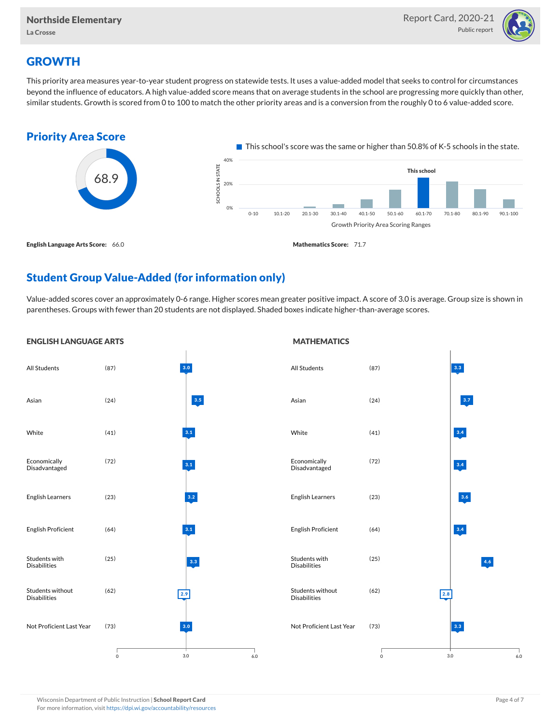

# **GROWTH**

This priority area measures year-to-year student progress on statewide tests. It uses a value-added model that seeks to control for circumstances beyond the influence of educators. A high value-added score means that on average students in the school are progressing more quickly than other, similar students. Growth is scored from 0 to 100 to match the other priority areas and is a conversion from the roughly 0 to 6 value-added score.



## Student Group Value-Added (for information only)

Value-added scores cover an approximately 0-6 range. Higher scores mean greater positive impact. A score of 3.0 is average. Group size is shown in parentheses. Groups with fewer than 20 students are not displayed. Shaded boxes indicate higher-than-average scores.

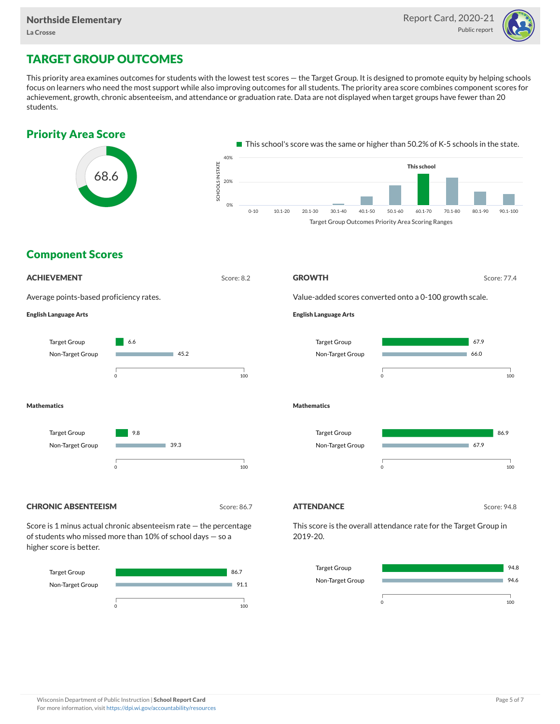

# TARGET GROUP OUTCOMES

This priority area examines outcomes for students with the lowest test scores — the Target Group. It is designed to promote equity by helping schools focus on learners who need the most support while also improving outcomes for all students. The priority area score combines component scores for achievement, growth, chronic absenteeism, and attendance or graduation rate. Data are not displayed when target groups have fewer than 20 students.





#### Target Group Non-Target Group 94.8 94.6 0 100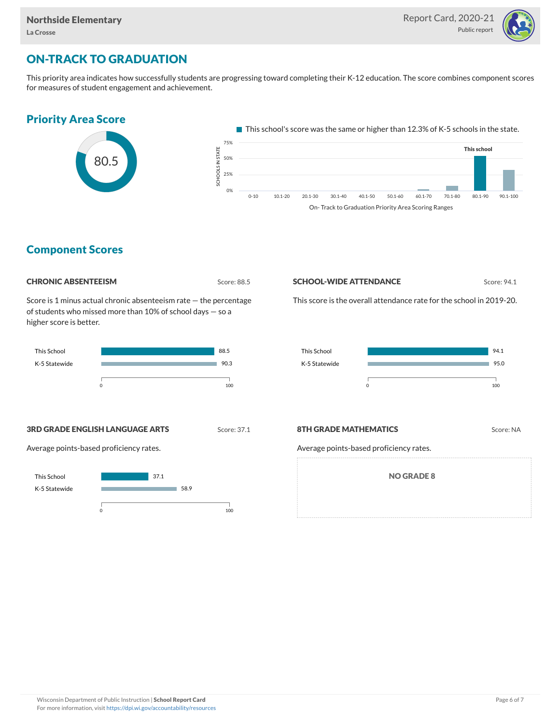

# ON-TRACK TO GRADUATION

This priority area indicates how successfully students are progressing toward completing their K-12 education. The score combines component scores for measures of student engagement and achievement.



On- Track to Graduation Priority Area Scoring Ranges

## Component Scores

| <b>CHRONIC ABSENTEEISM</b> |  |
|----------------------------|--|
|----------------------------|--|

Score: 88.5

Score is 1 minus actual chronic absenteeism rate — the percentage of students who missed more than 10% of school days — so a higher score is better.



#### **SCHOOL-WIDE ATTENDANCE** Score: 94.1

This score is the overall attendance rate for the school in 2019-20.



**3RD GRADE ENGLISH LANGUAGE ARTS** Score: 37.1

Average points-based proficiency rates.



#### **8TH GRADE MATHEMATICS** Score: NA

Average points-based proficiency rates.

NO GRADE 8